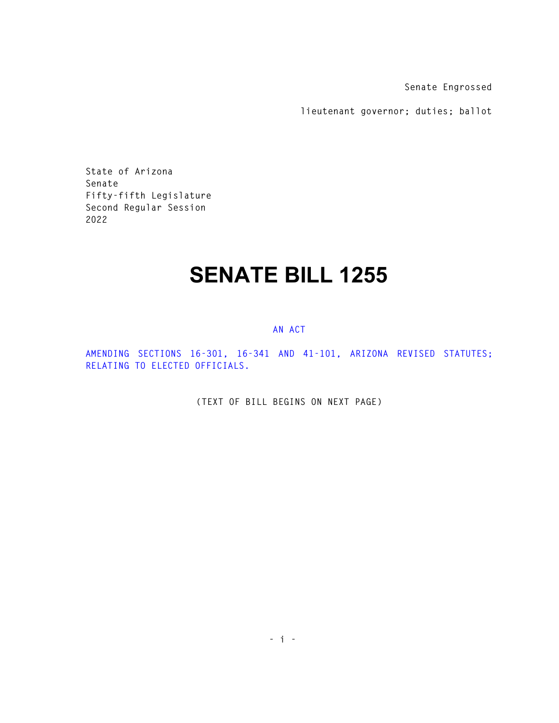**Senate Engrossed** 

**lieutenant governor; duties; ballot** 

**State of Arizona Senate Fifty-fifth Legislature Second Regular Session 2022** 

# **SENATE BILL 1255**

### **AN ACT**

**AMENDING SECTIONS 16-301, 16-341 AND 41-101, ARIZONA REVISED STATUTES; RELATING TO ELECTED OFFICIALS.** 

**(TEXT OF BILL BEGINS ON NEXT PAGE)**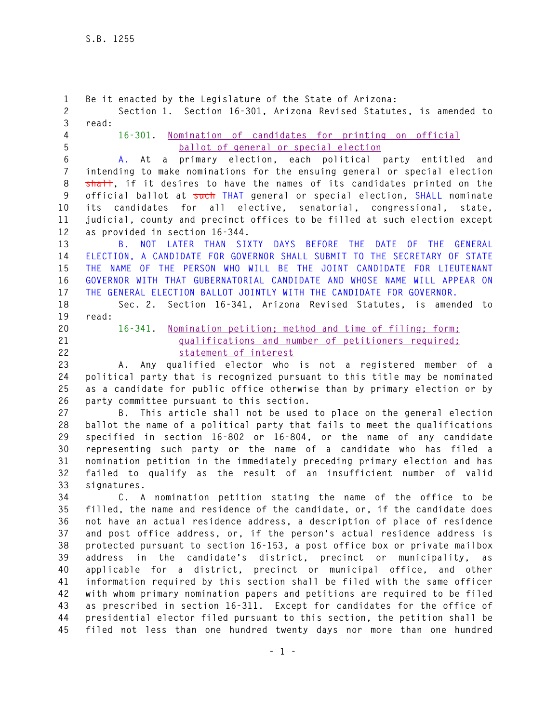**1 Be it enacted by the Legislature of the State of Arizona: 2 Section 1. Section 16-301, Arizona Revised Statutes, is amended to 3 read: 4 16-301. Nomination of candidates for printing on official 5 ballot of general or special election 6 A. At a primary election, each political party entitled and 7 intending to make nominations for the ensuing general or special election**  8 shall, if it desires to have the names of its candidates printed on the **9 official ballot at such THAT general or special election, SHALL nominate 10 its candidates for all elective, senatorial, congressional, state, 11 judicial, county and precinct offices to be filled at such election except 12 as provided in section 16-344. 13 B. NOT LATER THAN SIXTY DAYS BEFORE THE DATE OF THE GENERAL 14 ELECTION, A CANDIDATE FOR GOVERNOR SHALL SUBMIT TO THE SECRETARY OF STATE 15 THE NAME OF THE PERSON WHO WILL BE THE JOINT CANDIDATE FOR LIEUTENANT 16 GOVERNOR WITH THAT GUBERNATORIAL CANDIDATE AND WHOSE NAME WILL APPEAR ON 17 THE GENERAL ELECTION BALLOT JOINTLY WITH THE CANDIDATE FOR GOVERNOR. 18 Sec. 2. Section 16-341, Arizona Revised Statutes, is amended to 19 read: 20 16-341. Nomination petition; method and time of filing; form; 21 qualifications and number of petitioners required; 22 statement of interest 23 A. Any qualified elector who is not a registered member of a 24 political party that is recognized pursuant to this title may be nominated 25 as a candidate for public office otherwise than by primary election or by 26 party committee pursuant to this section. 27 B. This article shall not be used to place on the general election 28 ballot the name of a political party that fails to meet the qualifications 29 specified in section 16-802 or 16-804, or the name of any candidate 30 representing such party or the name of a candidate who has filed a 31 nomination petition in the immediately preceding primary election and has 32 failed to qualify as the result of an insufficient number of valid 33 signatures. 34 C. A nomination petition stating the name of the office to be 35 filled, the name and residence of the candidate, or, if the candidate does 36 not have an actual residence address, a description of place of residence 37 and post office address, or, if the person's actual residence address is 38 protected pursuant to section 16-153, a post office box or private mailbox 39 address in the candidate's district, precinct or municipality, as 40 applicable for a district, precinct or municipal office, and other 41 information required by this section shall be filed with the same officer 42 with whom primary nomination papers and petitions are required to be filed 43 as prescribed in section 16-311. Except for candidates for the office of 44 presidential elector filed pursuant to this section, the petition shall be 45 filed not less than one hundred twenty days nor more than one hundred**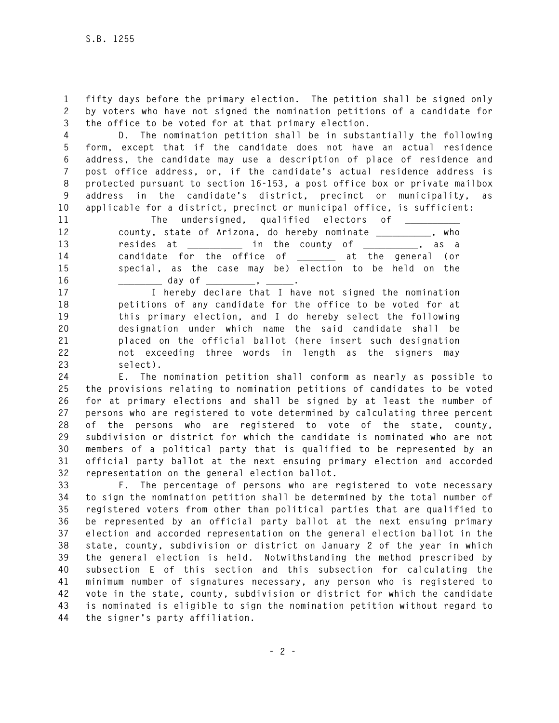**1 fifty days before the primary election. The petition shall be signed only 2 by voters who have not signed the nomination petitions of a candidate for 3 the office to be voted for at that primary election.** 

**4 D. The nomination petition shall be in substantially the following 5 form, except that if the candidate does not have an actual residence 6 address, the candidate may use a description of place of residence and 7 post office address, or, if the candidate's actual residence address is 8 protected pursuant to section 16-153, a post office box or private mailbox 9 address in the candidate's district, precinct or municipality, as 10 applicable for a district, precinct or municipal office, is sufficient:** 

11 The undersigned, qualified electors of <u>\_\_</u> **12 county, state of Arizona, do hereby nominate \_\_\_\_\_\_\_\_\_\_, who 13 resides at \_\_\_\_\_\_\_\_\_\_ in the county of \_\_\_\_\_\_\_\_\_\_, as a 14 candidate for the office of \_\_\_\_\_\_\_ at the general (or 15 special, as the case may be) election to be held on the**  16 \_\_\_\_\_\_\_\_\_\_\_\_ day of \_\_\_\_\_\_\_\_\_\_, \_\_\_\_\_\_.

**17 I hereby declare that I have not signed the nomination 18 petitions of any candidate for the office to be voted for at 19 this primary election, and I do hereby select the following 20 designation under which name the said candidate shall be 21 placed on the official ballot (here insert such designation 22 not exceeding three words in length as the signers may 23 select).** 

**24 E. The nomination petition shall conform as nearly as possible to 25 the provisions relating to nomination petitions of candidates to be voted 26 for at primary elections and shall be signed by at least the number of 27 persons who are registered to vote determined by calculating three percent 28 of the persons who are registered to vote of the state, county, 29 subdivision or district for which the candidate is nominated who are not 30 members of a political party that is qualified to be represented by an 31 official party ballot at the next ensuing primary election and accorded 32 representation on the general election ballot.** 

**33 F. The percentage of persons who are registered to vote necessary 34 to sign the nomination petition shall be determined by the total number of 35 registered voters from other than political parties that are qualified to 36 be represented by an official party ballot at the next ensuing primary 37 election and accorded representation on the general election ballot in the 38 state, county, subdivision or district on January 2 of the year in which 39 the general election is held. Notwithstanding the method prescribed by 40 subsection E of this section and this subsection for calculating the 41 minimum number of signatures necessary, any person who is registered to 42 vote in the state, county, subdivision or district for which the candidate 43 is nominated is eligible to sign the nomination petition without regard to 44 the signer's party affiliation.**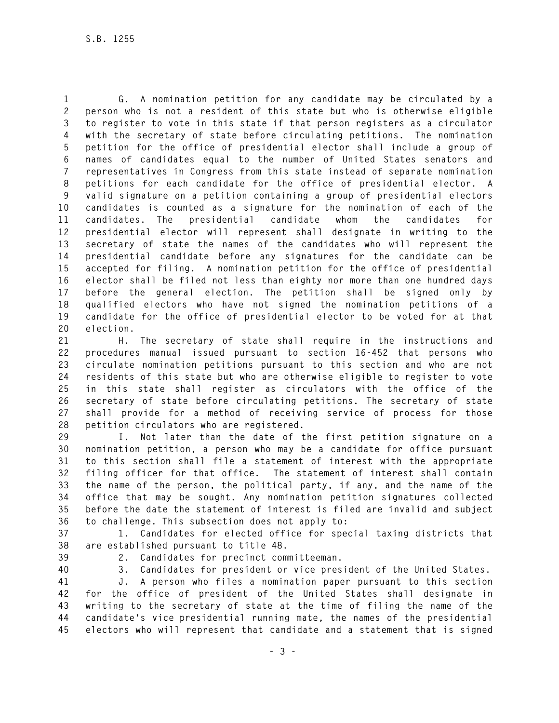**1 G. A nomination petition for any candidate may be circulated by a 2 person who is not a resident of this state but who is otherwise eligible 3 to register to vote in this state if that person registers as a circulator 4 with the secretary of state before circulating petitions. The nomination 5 petition for the office of presidential elector shall include a group of 6 names of candidates equal to the number of United States senators and 7 representatives in Congress from this state instead of separate nomination 8 petitions for each candidate for the office of presidential elector. A 9 valid signature on a petition containing a group of presidential electors 10 candidates is counted as a signature for the nomination of each of the 11 candidates. The presidential candidate whom the candidates for 12 presidential elector will represent shall designate in writing to the 13 secretary of state the names of the candidates who will represent the 14 presidential candidate before any signatures for the candidate can be 15 accepted for filing. A nomination petition for the office of presidential 16 elector shall be filed not less than eighty nor more than one hundred days 17 before the general election. The petition shall be signed only by 18 qualified electors who have not signed the nomination petitions of a 19 candidate for the office of presidential elector to be voted for at that 20 election.** 

**21 H. The secretary of state shall require in the instructions and 22 procedures manual issued pursuant to section 16-452 that persons who 23 circulate nomination petitions pursuant to this section and who are not 24 residents of this state but who are otherwise eligible to register to vote 25 in this state shall register as circulators with the office of the 26 secretary of state before circulating petitions. The secretary of state 27 shall provide for a method of receiving service of process for those 28 petition circulators who are registered.** 

**29 I. Not later than the date of the first petition signature on a 30 nomination petition, a person who may be a candidate for office pursuant 31 to this section shall file a statement of interest with the appropriate 32 filing officer for that office. The statement of interest shall contain 33 the name of the person, the political party, if any, and the name of the 34 office that may be sought. Any nomination petition signatures collected 35 before the date the statement of interest is filed are invalid and subject 36 to challenge. This subsection does not apply to:** 

**37 1. Candidates for elected office for special taxing districts that 38 are established pursuant to title 48.** 

**39 2. Candidates for precinct committeeman.** 

**40 3. Candidates for president or vice president of the United States.** 

**41 J. A person who files a nomination paper pursuant to this section 42 for the office of president of the United States shall designate in 43 writing to the secretary of state at the time of filing the name of the 44 candidate's vice presidential running mate, the names of the presidential 45 electors who will represent that candidate and a statement that is signed**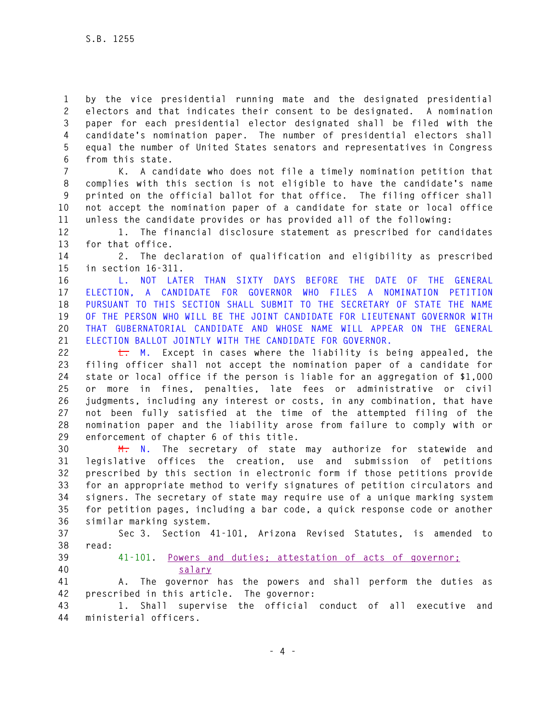**1 by the vice presidential running mate and the designated presidential 2 electors and that indicates their consent to be designated. A nomination 3 paper for each presidential elector designated shall be filed with the 4 candidate's nomination paper. The number of presidential electors shall 5 equal the number of United States senators and representatives in Congress 6 from this state.** 

**7 K. A candidate who does not file a timely nomination petition that 8 complies with this section is not eligible to have the candidate's name 9 printed on the official ballot for that office. The filing officer shall 10 not accept the nomination paper of a candidate for state or local office 11 unless the candidate provides or has provided all of the following:** 

**12 1. The financial disclosure statement as prescribed for candidates 13 for that office.** 

**14 2. The declaration of qualification and eligibility as prescribed 15 in section 16-311.** 

**16 L. NOT LATER THAN SIXTY DAYS BEFORE THE DATE OF THE GENERAL 17 ELECTION, A CANDIDATE FOR GOVERNOR WHO FILES A NOMINATION PETITION 18 PURSUANT TO THIS SECTION SHALL SUBMIT TO THE SECRETARY OF STATE THE NAME 19 OF THE PERSON WHO WILL BE THE JOINT CANDIDATE FOR LIEUTENANT GOVERNOR WITH 20 THAT GUBERNATORIAL CANDIDATE AND WHOSE NAME WILL APPEAR ON THE GENERAL 21 ELECTION BALLOT JOINTLY WITH THE CANDIDATE FOR GOVERNOR.** 

**22 L. M. Except in cases where the liability is being appealed, the 23 filing officer shall not accept the nomination paper of a candidate for 24 state or local office if the person is liable for an aggregation of \$1,000 25 or more in fines, penalties, late fees or administrative or civil 26 judgments, including any interest or costs, in any combination, that have 27 not been fully satisfied at the time of the attempted filing of the 28 nomination paper and the liability arose from failure to comply with or 29 enforcement of chapter 6 of this title.** 

**30 M. N. The secretary of state may authorize for statewide and 31 legislative offices the creation, use and submission of petitions 32 prescribed by this section in electronic form if those petitions provide 33 for an appropriate method to verify signatures of petition circulators and 34 signers. The secretary of state may require use of a unique marking system 35 for petition pages, including a bar code, a quick response code or another 36 similar marking system.** 

**37 Sec 3. Section 41-101, Arizona Revised Statutes, is amended to 38 read:** 

# **39 41-101. Powers and duties; attestation of acts of governor; 40 salary**

**41 A. The governor has the powers and shall perform the duties as 42 prescribed in this article. The governor:** 

**43 1. Shall supervise the official conduct of all executive and 44 ministerial officers.**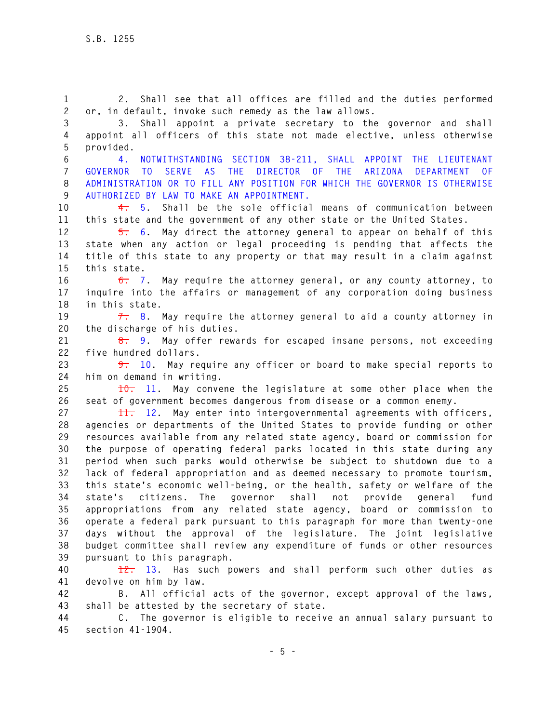**1 2. Shall see that all offices are filled and the duties performed 2 or, in default, invoke such remedy as the law allows.** 

**3 3. Shall appoint a private secretary to the governor and shall 4 appoint all officers of this state not made elective, unless otherwise 5 provided.** 

**6 4. NOTWITHSTANDING SECTION 38-211, SHALL APPOINT THE LIEUTENANT 7 GOVERNOR TO SERVE AS THE DIRECTOR OF THE ARIZONA DEPARTMENT OF 8 ADMINISTRATION OR TO FILL ANY POSITION FOR WHICH THE GOVERNOR IS OTHERWISE 9 AUTHORIZED BY LAW TO MAKE AN APPOINTMENT.**

**10 4. 5. Shall be the sole official means of communication between 11 this state and the government of any other state or the United States.** 

**12 5. 6. May direct the attorney general to appear on behalf of this 13 state when any action or legal proceeding is pending that affects the 14 title of this state to any property or that may result in a claim against 15 this state.** 

**16 6. 7. May require the attorney general, or any county attorney, to 17 inquire into the affairs or management of any corporation doing business 18 in this state.** 

**19 7. 8. May require the attorney general to aid a county attorney in 20 the discharge of his duties.** 

**21 8. 9. May offer rewards for escaped insane persons, not exceeding 22 five hundred dollars.** 

**23 9. 10. May require any officer or board to make special reports to 24 him on demand in writing.** 

**25 10. 11. May convene the legislature at some other place when the 26 seat of government becomes dangerous from disease or a common enemy.** 

**27 11. 12. May enter into intergovernmental agreements with officers, 28 agencies or departments of the United States to provide funding or other 29 resources available from any related state agency, board or commission for 30 the purpose of operating federal parks located in this state during any 31 period when such parks would otherwise be subject to shutdown due to a 32 lack of federal appropriation and as deemed necessary to promote tourism, 33 this state's economic well-being, or the health, safety or welfare of the 34 state's citizens. The governor shall not provide general fund 35 appropriations from any related state agency, board or commission to 36 operate a federal park pursuant to this paragraph for more than twenty-one 37 days without the approval of the legislature. The joint legislative 38 budget committee shall review any expenditure of funds or other resources 39 pursuant to this paragraph.** 

**40 12. 13. Has such powers and shall perform such other duties as 41 devolve on him by law.** 

**42 B. All official acts of the governor, except approval of the laws, 43 shall be attested by the secretary of state.** 

**44 C. The governor is eligible to receive an annual salary pursuant to 45 section 41-1904.**